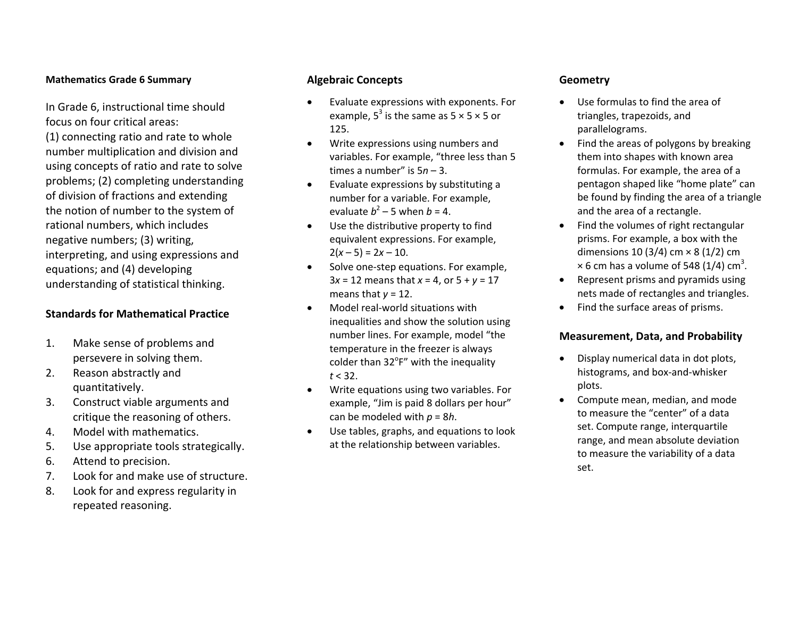#### **Mathematics Grade 6 Summary**

In Grade 6, instructional time should focus on four critical areas:

(1) connecting ratio and rate to whole number multiplication and division and using concepts of ratio and rate to solve problems; (2) completing understanding of division of fractions and extending the notion of number to the system of rational numbers, which includes negative numbers; (3) writing, interpreting, and using expressions and equations; and (4) developing understanding of statistical thinking.

### **Standards for Mathematical Practice**

- 1. Make sense of problems and persevere in solving them.
- 2.. Reason abstractly and quantitatively.
- 3. Construct viable arguments and critique the reasoning of others.
- 4.Model with mathematics.
- 5.Use appropriate tools strategically.
- 6.Attend to precision.
- 7.Look for and make use of structure.
- 8. Look for and express regularity in repeated reasoning.

#### **Algebraic Concepts**

- 0 Evaluate expressions with exponents. For example,  $5^3$  is the same as  $5 \times 5 \times 5$  or 125.
- . Write expressions using numbers and variables. For example, "three less than 5 times a number" is 5*<sup>n</sup>*– 3.
- . Evaluate expressions by substituting <sup>a</sup> number for <sup>a</sup> variable. For example, evaluate  $b^2$  – 5 when  $b$  = 4.
- . Use the distributive property to find equivalent expressions. For example, 2( *x* – 5) <sup>=</sup> 2*<sup>x</sup>* – 10.
- . ● Solve one-step equations. For example, 3*x* <sup>=</sup> 12 means that *x* <sup>=</sup> 4, or 5 <sup>+</sup> *y* <sup>=</sup> 17 means that *y* <sup>=</sup> 12.
- 0 Model real‐world situations with inequalities and show the solution using number lines. For example, model "the temperature in the freezer is always colder than 32 $\degree$ F" with the inequality *t* < 32.
- . Write equations using two variables. For example, "Jim is paid 8 dollars per hour" can be modeled with *p* <sup>=</sup> 8 *h*.
- . Use tables, graphs, and equations to look at the relationship between variables.

#### **Geometry**

- . Use formulas to find the area of triangles, trapezoids, and parallelograms.
- Find the areas of polygons by breaking them into shapes with known area formulas. For example, the area of <sup>a</sup> pentagon shaped like "home plate" can be found by finding the area of <sup>a</sup> triangle and the area of <sup>a</sup> rectangle.
- Find the volumes of right rectangular prisms. For example, <sup>a</sup> box with the dimensions 10 (3/4) cm <sup>×</sup> 8 (1/2) cm  $\times$  6 cm has a volume of 548 (1/4) cm<sup>3</sup>.
- $\bullet$  Represent prisms and pyramids using nets made of rectangles and triangles.
- Find the surface areas of prisms.

### **Measurement, Data, and Probability**

- $\bullet$  Display numerical data in dot plots, histograms, and box‐and‐whisker plots.
- $\bullet$  Compute mean, median, and mode to measure the "center" of <sup>a</sup> data set. Compute range, interquartile range, and mean absolute deviation to measure the variability of <sup>a</sup> data set.